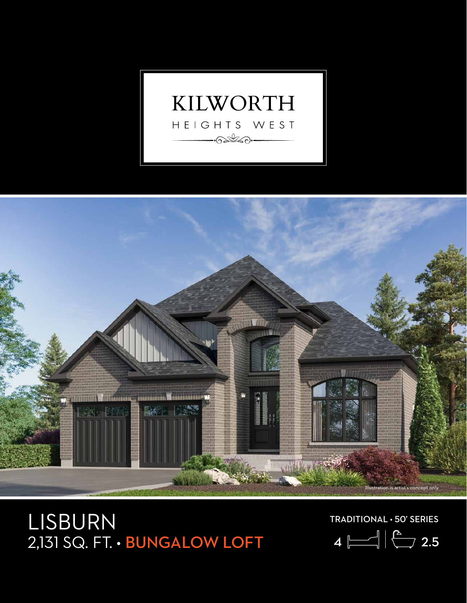



## LISBURN  $2,131$  SQ. FT. • BUNGALOW LOFT  $4 \sqrt{2}$ , 2.5

TRADITIONAL • 50' SERIES

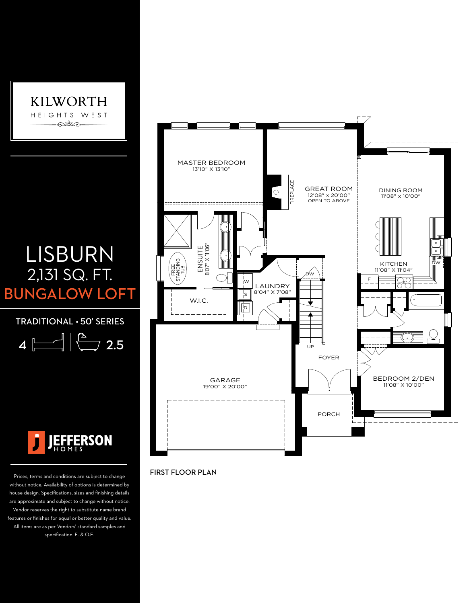

## LISBURN 2,131 SQ. FT. **BUNGALOW LOFT**

TRADITIONAL • 50' SERIES

$$
4 \ \boxed{\boxed{}
$$



Prices, terms and conditions are subject to change without notice. Availability of options is determined by house design. Specifications, sizes and finishing details are approximate and subject to change without notice. Vendor reserves the right to substitute name brand features or finishes for equal or better quality and value. All items are as per Vendors' standard samples and specification. E. & O.E.



## FIRST FLOOR PLAN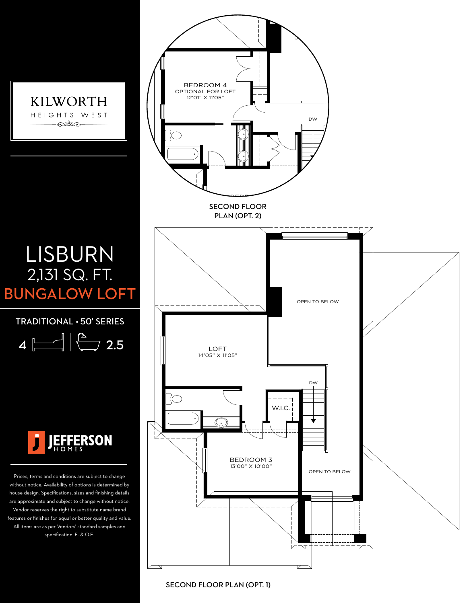

SECOND FLOOR PLAN (OPT. 1)